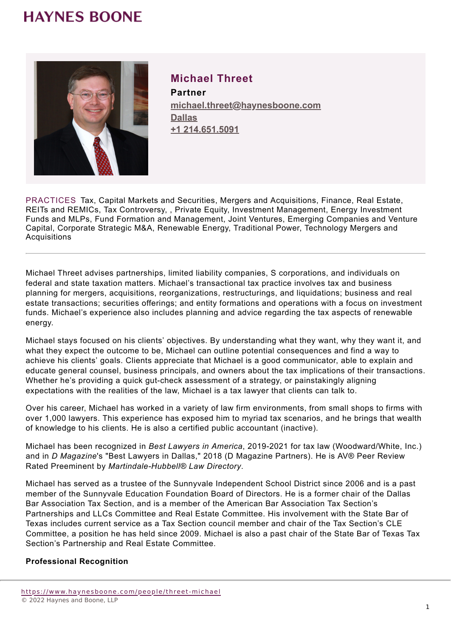## **HAYNES BOONE**



**Michael Threet Partner michael.threet@haynesboone.com [Dallas](https://www.haynesboone.com/locations/dallas) [+1 214.651.5091](tel://+1 214.651.5091)**

PRACTICES Tax, Capital Markets and Securities, Mergers and Acquisitions, Finance, Real Estate, REITs and REMICs, Tax Controversy, , Private Equity, Investment Management, Energy Investment Funds and MLPs, Fund Formation and Management, Joint Ventures, Emerging Companies and Venture Capital, Corporate Strategic M&A, Renewable Energy, Traditional Power, Technology Mergers and Acquisitions

Michael Threet advises partnerships, limited liability companies, S corporations, and individuals on federal and state taxation matters. Michael's transactional tax practice involves tax and business planning for mergers, acquisitions, reorganizations, restructurings, and liquidations; business and real estate transactions; securities offerings; and entity formations and operations with a focus on investment funds. Michael's experience also includes planning and advice regarding the tax aspects of renewable energy.

Michael stays focused on his clients' objectives. By understanding what they want, why they want it, and what they expect the outcome to be, Michael can outline potential consequences and find a way to achieve his clients' goals. Clients appreciate that Michael is a good communicator, able to explain and educate general counsel, business principals, and owners about the tax implications of their transactions. Whether he's providing a quick gut-check assessment of a strategy, or painstakingly aligning expectations with the realities of the law, Michael is a tax lawyer that clients can talk to.

Over his career, Michael has worked in a variety of law firm environments, from small shops to firms with over 1,000 lawyers. This experience has exposed him to myriad tax scenarios, and he brings that wealth of knowledge to his clients. He is also a certified public accountant (inactive).

Michael has been recognized in *Best Lawyers in America*, 2019-2021 for tax law (Woodward/White, Inc.) and in *D Magazine*'s "Best Lawyers in Dallas," 2018 (D Magazine Partners). He is AV® Peer Review Rated Preeminent by *Martindale-Hubbell® Law Directory*.

Michael has served as a trustee of the Sunnyvale Independent School District since 2006 and is a past member of the Sunnyvale Education Foundation Board of Directors. He is a former chair of the Dallas Bar Association Tax Section, and is a member of the American Bar Association Tax Section's Partnerships and LLCs Committee and Real Estate Committee. His involvement with the State Bar of Texas includes current service as a Tax Section council member and chair of the Tax Section's CLE Committee, a position he has held since 2009. Michael is also a past chair of the State Bar of Texas Tax Section's Partnership and Real Estate Committee.

#### **Professional Recognition**

<https://www.haynesboone.com/people/threet-michael> © 2022 Haynes and Boone, LLP